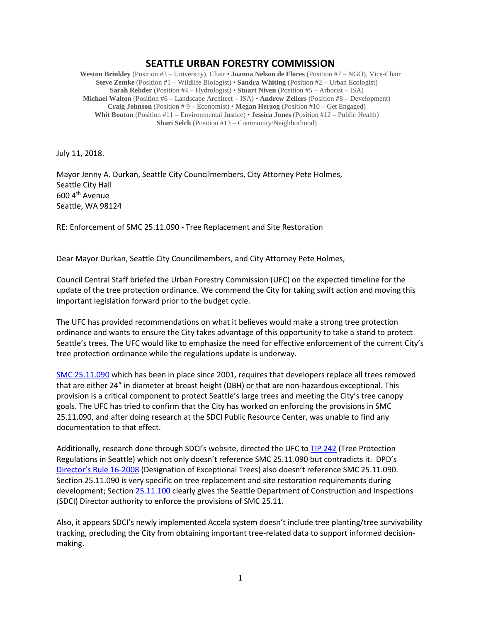## **SEATTLE URBAN FORESTRY COMMISSION**

**Weston Brinkley** (Position #3 – University), Chair • **Joanna Nelson de Flores** (Position #7 – NGO), Vice-Chair **Steve Zemke** (Position #1 – Wildlife Biologist) • **Sandra Whiting** (Position #2 – Urban Ecologist) **Sarah Rehder** (Position #4 – Hydrologist) • **Stuart Niven** (Position #5 – Arborist – ISA) **Michael Walton** (Position #6 – Landscape Architect – ISA) • **Andrew Zellers** (Position #8 – Development) **Craig Johnson** (Position # 9 – Economist) • **Megan Herzog** (Position #10 – Get Engaged) **Whit Bouton** (Position #11 – Environmental Justice) • **Jessica Jones** (Position #12 – Public Health) **Shari Selch** (Position #13 – Community/Neighborhood)

July 11, 2018.

Mayor Jenny A. Durkan, Seattle City Councilmembers, City Attorney Pete Holmes, Seattle City Hall 600 4th Avenue Seattle, WA 98124

RE: Enforcement of SMC 25.11.090 - Tree Replacement and Site Restoration

Dear Mayor Durkan, Seattle City Councilmembers, and City Attorney Pete Holmes,

Council Central Staff briefed the Urban Forestry Commission (UFC) on the expected timeline for the update of the tree protection ordinance. We commend the City for taking swift action and moving this important legislation forward prior to the budget cycle.

The UFC has provided recommendations on what it believes would make a strong tree protection ordinance and wants to ensure the City takes advantage of this opportunity to take a stand to protect Seattle's trees. The UFC would like to emphasize the need for effective enforcement of the current City's tree protection ordinance while the regulations update is underway.

[SMC 25.11.090](https://library.municode.com/wa/seattle/codes/municipal_code?nodeId=TIT25ENPRHIPR_CH25.11TRPR_25.11.090TRRESIRE) which has been in place since 2001, requires that developers replace all trees removed that are either 24" in diameter at breast height (DBH) or that are non-hazardous exceptional. This provision is a critical component to protect Seattle's large trees and meeting the City's tree canopy goals. The UFC has tried to confirm that the City has worked on enforcing the provisions in SMC 25.11.090, and after doing research at the SDCI Public Resource Center, was unable to find any documentation to that effect.

Additionally, research done through SDCI's website, directed the UFC to [TIP 242](http://www.seattle.gov/Documents/Departments/UrbanForestryCommission/2018/2018docs/TIP242_highlightedcontradiction.pdf) (Tree Protection Regulations in Seattle) which not only doesn't reference SMC 25.11.090 but contradicts it. DPD's [Director's Rule 16-2008](http://www.seattle.gov/Documents/Departments/UrbanForestryCommission/2018/2018docs/dr2008_16x.pdf) (Designation of Exceptional Trees) also doesn't reference SMC 25.11.090. Section 25.11.090 is very specific on tree replacement and site restoration requirements during development; Sectio[n 25.11.100](https://library.municode.com/wa/seattle/codes/municipal_code?nodeId=TIT25ENPRHIPR_CH25.11TRPR_25.11.100ENPE) clearly gives the Seattle Department of Construction and Inspections (SDCI) Director authority to enforce the provisions of SMC 25.11.

Also, it appears SDCI's newly implemented Accela system doesn't include tree planting/tree survivability tracking, precluding the City from obtaining important tree-related data to support informed decisionmaking.